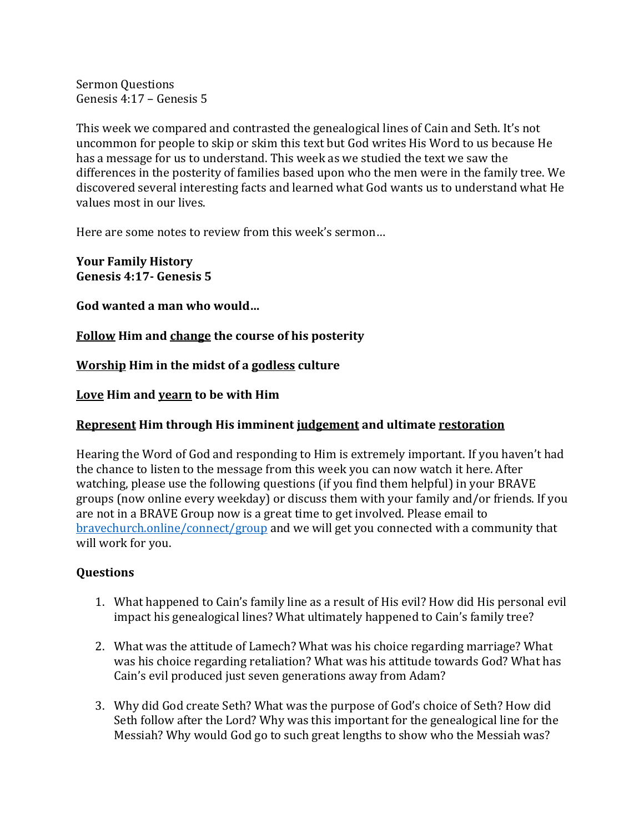Sermon Questions Genesis 4:17 - Genesis 5

This week we compared and contrasted the genealogical lines of Cain and Seth. It's not uncommon for people to skip or skim this text but God writes His Word to us because He has a message for us to understand. This week as we studied the text we saw the differences in the posterity of families based upon who the men were in the family tree. We discovered several interesting facts and learned what God wants us to understand what He values most in our lives.

Here are some notes to review from this week's sermon...

**Your Family History Genesis 4:17- Genesis 5**

God wanted a man who would...

**Follow Him and change the course of his posterity** 

**Worship Him in the midst of a godless culture** 

Love Him and yearn to be with Him

## **Represent Him through His imminent judgement and ultimate restoration**

Hearing the Word of God and responding to Him is extremely important. If you haven't had the chance to listen to the message from this week you can now watch it here. After watching, please use the following questions (if you find them helpful) in your BRAVE groups (now online every weekday) or discuss them with your family and/or friends. If you are not in a BRAVE Group now is a great time to get involved. Please email to bravechurch.online/connect/group and we will get you connected with a community that will work for you.

## **Questions**

- 1. What happened to Cain's family line as a result of His evil? How did His personal evil impact his genealogical lines? What ultimately happened to Cain's family tree?
- 2. What was the attitude of Lamech? What was his choice regarding marriage? What was his choice regarding retaliation? What was his attitude towards God? What has Cain's evil produced just seven generations away from Adam?
- 3. Why did God create Seth? What was the purpose of God's choice of Seth? How did Seth follow after the Lord? Why was this important for the genealogical line for the Messiah? Why would God go to such great lengths to show who the Messiah was?